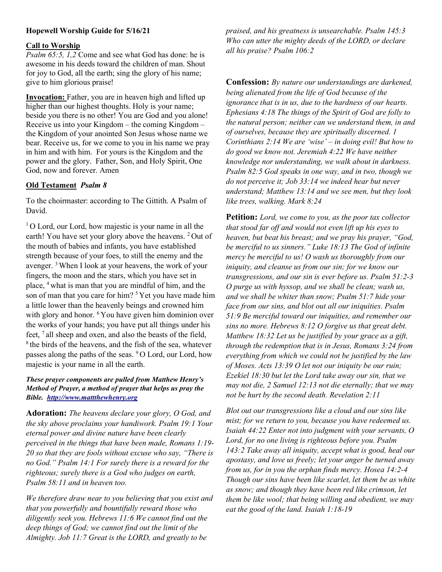# Hopewell Worship Guide for 5/16/21

### Call to Worship

Psalm 65:5, 1,2 Come and see what God has done: he is awesome in his deeds toward the children of man. Shout for joy to God, all the earth; sing the glory of his name; give to him glorious praise!

Invocation: Father, you are in heaven high and lifted up higher than our highest thoughts. Holy is your name; beside you there is no other! You are God and you alone! Receive us into your Kingdom – the coming Kingdom – the Kingdom of your anointed Son Jesus whose name we bear. Receive us, for we come to you in his name we pray in him and with him. For yours is the Kingdom and the power and the glory. Father, Son, and Holy Spirit, One God, now and forever. Amen

### Old Testament Psalm 8

To the choirmaster: according to The Gittith. A Psalm of David.

<sup>1</sup>O Lord, our Lord, how majestic is your name in all the earth! You have set your glory above the heavens. <sup>2</sup> Out of the mouth of babies and infants, you have established strength because of your foes, to still the enemy and the avenger. <sup>3</sup>When I look at your heavens, the work of your fingers, the moon and the stars, which you have set in place, <sup>4</sup>what is man that you are mindful of him, and the son of man that you care for him? <sup>5</sup>Yet you have made him a little lower than the heavenly beings and crowned him with glory and honor.  $6Y_{\text{ou}}$  have given him dominion over the works of your hands; you have put all things under his feet,  $7$  all sheep and oxen, and also the beasts of the field, <sup>8</sup> the birds of the heavens, and the fish of the sea, whatever passes along the paths of the seas. <sup>9</sup>O Lord, our Lord, how majestic is your name in all the earth.

#### These prayer components are pulled from Matthew Henry's Method of Prayer, a method of prayer that helps us pray the Bible. http://www.mattthewhenry.org

Adoration: The heavens declare your glory, O God, and the sky above proclaims your handiwork. Psalm 19:1 Your eternal power and divine nature have been clearly perceived in the things that have been made, Romans 1:19- 20 so that they are fools without excuse who say, "There is no God." Psalm 14:1 For surely there is a reward for the righteous; surely there is a God who judges on earth, Psalm 58:11 and in heaven too.

We therefore draw near to you believing that you exist and that you powerfully and bountifully reward those who diligently seek you. Hebrews 11:6 We cannot find out the deep things of God; we cannot find out the limit of the Almighty. Job 11:7 Great is the LORD, and greatly to be

praised, and his greatness is unsearchable. Psalm 145:3 Who can utter the mighty deeds of the LORD, or declare all his praise? Psalm 106:2

Confession: By nature our understandings are darkened, being alienated from the life of God because of the ignorance that is in us, due to the hardness of our hearts. Ephesians 4:18 The things of the Spirit of God are folly to the natural person; neither can we understand them, in and of ourselves, because they are spiritually discerned. 1 Corinthians  $2:14$  We are 'wise' – in doing evil! But how to do good we know not. Jeremiah 4:22 We have neither knowledge nor understanding, we walk about in darkness. Psalm 82:5 God speaks in one way, and in two, though we do not perceive it; Job 33:14 we indeed hear but never understand; Matthew 13:14 and we see men, but they look like trees, walking. Mark 8:24

**Petition:** Lord, we come to you, as the poor tax collector that stood far off and would not even lift up his eyes to heaven, but beat his breast; and we pray his prayer, "God, be merciful to us sinners." Luke 18:13 The God of infinite mercy be merciful to us! O wash us thoroughly from our iniquity, and cleanse us from our sin; for we know our transgressions, and our sin is ever before us. Psalm 51:2-3 O purge us with hyssop, and we shall be clean; wash us, and we shall be whiter than snow; Psalm 51:7 hide your face from our sins, and blot out all our iniquities. Psalm 51:9 Be merciful toward our iniquities, and remember our sins no more. Hebrews 8:12 O forgive us that great debt. Matthew 18:32 Let us be justified by your grace as a gift, through the redemption that is in Jesus, Romans 3:24 from everything from which we could not be justified by the law of Moses. Acts 13:39 O let not our iniquity be our ruin; Ezekiel 18:30 but let the Lord take away our sin, that we may not die, 2 Samuel 12:13 not die eternally; that we may not be hurt by the second death. Revelation 2:11

Blot out our transgressions like a cloud and our sins like mist; for we return to you, because you have redeemed us. Isaiah 44:22 Enter not into judgment with your servants, O Lord, for no one living is righteous before you. Psalm 143:2 Take away all iniquity, accept what is good, heal our apostasy, and love us freely; let your anger be turned away from us, for in you the orphan finds mercy. Hosea 14:2-4 Though our sins have been like scarlet, let them be as white as snow; and though they have been red like crimson, let them be like wool; that being willing and obedient, we may eat the good of the land. Isaiah 1:18-19